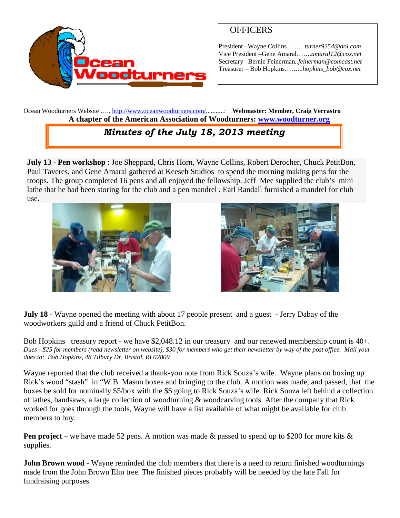

# **OFFICERS**

President –Wayne Collins…..… *turner9254@aol.com* Vice President –Gene Amaral…….*amaral12@cox.net* Secretary –Bernie Feinerman*..feinerman@comcast.net* Treasurer – Bob Hopkins……...*hopkins\_bob@cox.net*

Ocean Woodturners Website ….. <http://www.oceanwoodturners.com/>...........: **Webmaster: Member, Craig Verrastro A chapter of the American Association of Woodturners: [www.woodturner.org](http://www.woodturner.org/)**

# *Minutes of the July 18, 2013 meeting*

**July 13 - Pen workshop** : Joe Sheppard, Chris Horn, Wayne Collins, Robert Derocher, Chuck PetitBon, Paul Taveres, and Gene Amaral gathered at Keeseh Studios to spend the morning making pens for the troops. The group completed 16 pens and all enjoyed the fellowship. Jeff Mee supplied the club's mini lathe that he had been storing for the club and a pen mandrel , Earl Randall furnished a mandrel for club use.





**July 18** - Wayne opened the meeting with about 17 people present and a guest - Jerry Dabay of the woodworkers guild and a friend of Chuck PetitBon.

Bob Hopkins treasury report - we have \$2,048.12 in our treasury and our renewed membership count is 40+. *Dues - \$25 for members (read newsletter on website), \$30 for members who get their newsletter by way of the post office. Mail your dues to: Bob Hopkins, 48 Tilbury Dr, Bristol, RI 02809*

Wayne reported that the club received a thank-you note from Rick Souza's wife. Wayne plans on boxing up Rick's wood "stash" in "W.B. Mason boxes and bringing to the club. A motion was made, and passed, that the boxes be sold for nominally \$5/box with the \$\$ going to Rick Souza's wife. Rick Souza left behind a collection of lathes, bandsaws, a large collection of woodturning & woodcarving tools. After the company that Rick worked for goes through the tools, Wayne will have a list available of what might be available for club members to buy.

**Pen project** – we have made 52 pens. A motion was made & passed to spend up to \$200 for more kits & supplies.

**John Brown wood** - Wayne reminded the club members that there is a need to return finished woodturnings made from the John Brown Elm tree. The finished pieces probably will be needed by the late Fall for fundraising purposes.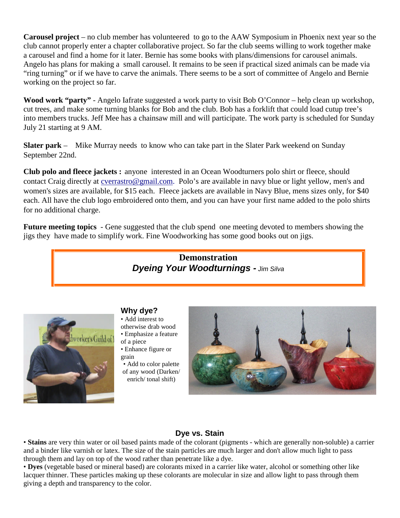**Carousel project** – no club member has volunteered to go to the AAW Symposium in Phoenix next year so the club cannot properly enter a chapter collaborative project. So far the club seems willing to work together make a carousel and find a home for it later. Bernie has some books with plans/dimensions for carousel animals. Angelo has plans for making a small carousel. It remains to be seen if practical sized animals can be made via "ring turning" or if we have to carve the animals. There seems to be a sort of committee of Angelo and Bernie working on the project so far.

**Wood work "party"** - Angelo Iafrate suggested a work party to visit Bob O'Connor – help clean up workshop, cut trees, and make some turning blanks for Bob and the club. Bob has a forklift that could load cutup tree's into members trucks. Jeff Mee has a chainsaw mill and will participate. The work party is scheduled for Sunday July 21 starting at 9 AM.

**Slater park** – Mike Murray needs to know who can take part in the Slater Park weekend on Sunday September 22nd.

**Club polo and fleece jackets :** anyone interested in an Ocean Woodturners polo shirt or fleece, should contact Craig directly at [cverrastro@gmail.com.](mailto:cverrastro@gmail.com) Polo's are available in navy blue or light yellow, men's and women's sizes are available, for \$15 each. Fleece jackets are available in Navy Blue, mens sizes only, for \$40 each. All have the club logo embroidered onto them, and you can have your first name added to the polo shirts for no additional charge.

**Future meeting topics** - Gene suggested that the club spend one meeting devoted to members showing the jigs they have made to simplify work. Fine Woodworking has some good books out on jigs.





### **Why dye?**

- Add interest to otherwise drab wood • Emphasize a feature
- of a piece
- Enhance figure or grain
- Add to color palette of any wood (Darken/ enrich/ tonal shift)



## **Dye vs. Stain**

• **Stains** are very thin water or oil based paints made of the colorant (pigments - which are generally non-soluble) a carrier and a binder like varnish or latex. The size of the stain particles are much larger and don't allow much light to pass through them and lay on top of the wood rather than penetrate like a dye.

• **Dyes** (vegetable based or mineral based) are colorants mixed in a carrier like water, alcohol or something other like lacquer thinner. These particles making up these colorants are molecular in size and allow light to pass through them giving a depth and transparency to the color.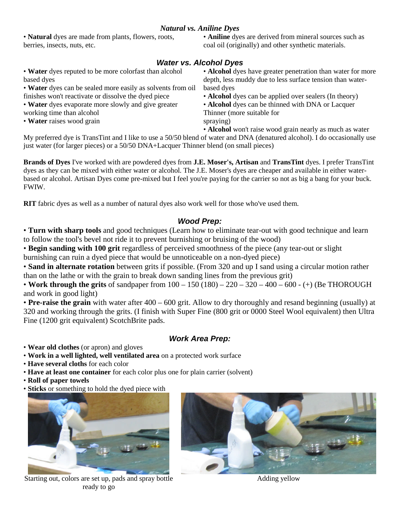### *Natural vs. Aniline Dyes*

• **Natural** dyes are made from plants, flowers, roots, berries, insects, nuts, etc.

• **Aniline** dyes are derived from mineral sources such as coal oil (originally) and other synthetic materials.

### *Water vs. Alcohol Dyes*

• **Water** dyes reputed to be more colorfast than alcohol based dyes

• **Water** dyes can be sealed more easily as solvents from oil finishes won't reactivate or dissolve the dyed piece

• **Water** dyes evaporate more slowly and give greater working time than alcohol

• **Water** raises wood grain

• **Alcohol** dyes have greater penetration than water for more depth, less muddy due to less surface tension than waterbased dyes

• **Alcohol** dyes can be applied over sealers (In theory)

• **Alcohol** dyes can be thinned with DNA or Lacquer Thinner (more suitable for spraying)

• **Alcohol** won't raise wood grain nearly as much as water

My preferred dye is TransTint and I like to use a 50/50 blend of water and DNA (denatured alcohol). I do occasionally use just water (for larger pieces) or a 50/50 DNA+Lacquer Thinner blend (on small pieces)

**Brands of Dyes** I've worked with are powdered dyes from **J.E. Moser's, Artisan** and **TransTint** dyes. I prefer TransTint dyes as they can be mixed with either water or alcohol. The J.E. Moser's dyes are cheaper and available in either waterbased or alcohol. Artisan Dyes come pre-mixed but I feel you're paying for the carrier so not as big a bang for your buck. FWIW.

**RIT** fabric dyes as well as a number of natural dyes also work well for those who've used them.

#### *Wood Prep:*

• **Turn with sharp tools** and good techniques (Learn how to eliminate tear-out with good technique and learn to follow the tool's bevel not ride it to prevent burnishing or bruising of the wood)

• **Begin sanding with 100 grit** regardless of perceived smoothness of the piece (any tear-out or slight burnishing can ruin a dyed piece that would be unnoticeable on a non-dyed piece)

• **Sand in alternate rotation** between grits if possible. (From 320 and up I sand using a circular motion rather than on the lathe or with the grain to break down sanding lines from the previous grit)

• **Work through the grits** of sandpaper from 100 – 150 (180) – 220 – 320 – 400 – 600 - (+) (Be THOROUGH and work in good light)

• **Pre-raise the grain** with water after 400 – 600 grit. Allow to dry thoroughly and resand beginning (usually) at 320 and working through the grits. (I finish with Super Fine (800 grit or 0000 Steel Wool equivalent) then Ultra Fine (1200 grit equivalent) ScotchBrite pads.

### *Work Area Prep:*

• **Wear old clothes** (or apron) and gloves

- **Work in a well lighted, well ventilated area** on a protected work surface
- **Have several cloths** for each color
- **Have at least one container** for each color plus one for plain carrier (solvent)
- **Roll of paper towels**
- **Sticks** or something to hold the dyed piece with



Starting out, colors are set up, pads and spray bottle ready to go



Adding yellow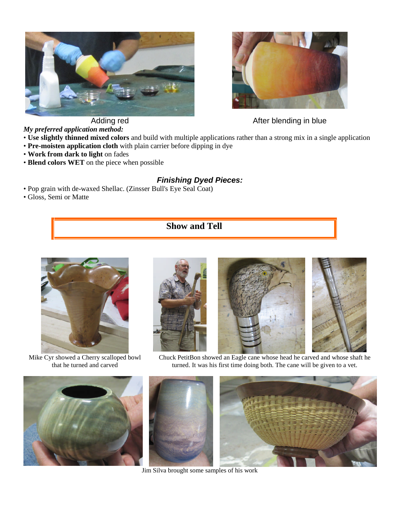



Adding red After blending in blue

*My preferred application method:*

- **Use slightly thinned mixed colors** and build with multiple applications rather than a strong mix in a single application
- **Pre-moisten application cloth** with plain carrier before dipping in dye
- **Work from dark to light** on fades
- **Blend colors WET** on the piece when possible

## *Finishing Dyed Pieces:*

• Pop grain with de-waxed Shellac. (Zinsser Bull's Eye Seal Coat)

• Gloss, Semi or Matte

# **Show and Tell**



Mike Cyr showed a Cherry scalloped bowl that he turned and carved



Chuck PetitBon showed an Eagle cane whose head he carved and whose shaft he turned. It was his first time doing both. The cane will be given to a vet.



Jim Silva brought some samples of his work